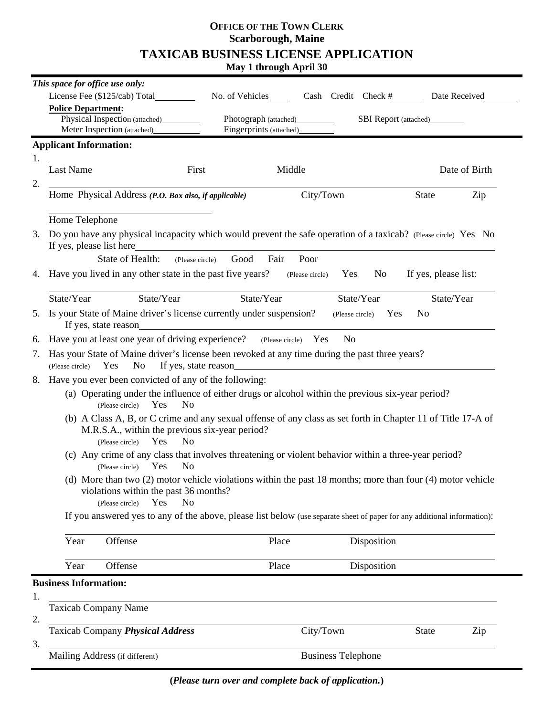# **OFFICE OF THE TOWN CLERK Scarborough, Maine TAXICAB BUSINESS LICENSE APPLICATION**

**May 1 through April 30**

|    | This space for office use only:                                                                                                                                                                                   |                                                                                                                          |           |                                            |                                 |     |  |
|----|-------------------------------------------------------------------------------------------------------------------------------------------------------------------------------------------------------------------|--------------------------------------------------------------------------------------------------------------------------|-----------|--------------------------------------------|---------------------------------|-----|--|
|    | License Fee $(\$125/cab)$ Total                                                                                                                                                                                   | No. of Vehicles                                                                                                          |           | Cash Credit Check #________ Date Received_ |                                 |     |  |
|    | <b>Police Department:</b>                                                                                                                                                                                         |                                                                                                                          |           |                                            |                                 |     |  |
|    | Physical Inspection (attached)____________                                                                                                                                                                        |                                                                                                                          |           |                                            | SBI Report (attached)__________ |     |  |
|    | Meter Inspection (attached)_                                                                                                                                                                                      | Fingerprints (attached)                                                                                                  |           |                                            |                                 |     |  |
|    | <b>Applicant Information:</b>                                                                                                                                                                                     |                                                                                                                          |           |                                            |                                 |     |  |
| 1. |                                                                                                                                                                                                                   |                                                                                                                          |           |                                            |                                 |     |  |
|    | Last Name                                                                                                                                                                                                         | First                                                                                                                    | Middle    |                                            | Date of Birth                   |     |  |
| 2. | <u> 1989 - Johann Stoff, deutscher Stoffen und der Stoffen und der Stoffen und der Stoffen und der Stoffen und der</u>                                                                                            |                                                                                                                          |           |                                            |                                 |     |  |
|    | Home Physical Address (P.O. Box also, if applicable)                                                                                                                                                              |                                                                                                                          | City/Town |                                            | State                           | Zip |  |
|    | Home Telephone                                                                                                                                                                                                    |                                                                                                                          |           |                                            |                                 |     |  |
| 3. | Do you have any physical incapacity which would prevent the safe operation of a taxicab? (Please circle) Yes No                                                                                                   |                                                                                                                          |           |                                            |                                 |     |  |
|    |                                                                                                                                                                                                                   |                                                                                                                          |           |                                            |                                 |     |  |
|    | State of Health: (Please circle) Good Fair                                                                                                                                                                        |                                                                                                                          | Poor      |                                            |                                 |     |  |
|    | 4. Have you lived in any other state in the past five years? (Please circle) Yes No                                                                                                                               |                                                                                                                          |           |                                            | If yes, please list:            |     |  |
|    | State/Year<br>State/Year                                                                                                                                                                                          | State/Year                                                                                                               |           | State/Year                                 | State/Year                      |     |  |
|    | 5. Is your State of Maine driver's license currently under suspension?<br>(Please circle) Yes<br>N <sub>o</sub><br>If yes, state reason                                                                           |                                                                                                                          |           |                                            |                                 |     |  |
| 6. | Have you at least one year of driving experience? (Please circle) Yes<br>N <sub>0</sub>                                                                                                                           |                                                                                                                          |           |                                            |                                 |     |  |
| 7. | Has your State of Maine driver's license been revoked at any time during the past three years?<br>Yes<br>No<br>(Please circle)                                                                                    |                                                                                                                          |           |                                            |                                 |     |  |
|    | 8. Have you ever been convicted of any of the following:                                                                                                                                                          |                                                                                                                          |           |                                            |                                 |     |  |
|    | (a) Operating under the influence of either drugs or alcohol within the previous six-year period?<br>(Please circle) Yes<br>N <sub>0</sub>                                                                        |                                                                                                                          |           |                                            |                                 |     |  |
|    | (b) A Class A, B, or C crime and any sexual offense of any class as set forth in Chapter 11 of Title 17-A of<br>M.R.S.A., within the previous six-year period?<br><b>Yes</b><br>N <sub>0</sub><br>(Please circle) |                                                                                                                          |           |                                            |                                 |     |  |
|    | (c) Any crime of any class that involves threatening or violent behavior within a three-year period?<br>Yes<br>N <sub>o</sub><br>(Please circle)                                                                  |                                                                                                                          |           |                                            |                                 |     |  |
|    | (d) More than two (2) motor vehicle violations within the past 18 months; more than four (4) motor vehicle<br>violations within the past 36 months?<br>Yes<br>No<br>(Please circle)                               |                                                                                                                          |           |                                            |                                 |     |  |
|    |                                                                                                                                                                                                                   | If you answered yes to any of the above, please list below (use separate sheet of paper for any additional information): |           |                                            |                                 |     |  |
|    | Year<br>Offense                                                                                                                                                                                                   |                                                                                                                          | Place     | Disposition                                |                                 |     |  |
|    | Year<br>Offense                                                                                                                                                                                                   |                                                                                                                          | Place     | Disposition                                |                                 |     |  |
|    | <b>Business Information:</b>                                                                                                                                                                                      |                                                                                                                          |           |                                            |                                 |     |  |
| 1. | <b>Taxicab Company Name</b>                                                                                                                                                                                       |                                                                                                                          |           |                                            |                                 |     |  |
| 2. | Taxicab Company Physical Address                                                                                                                                                                                  |                                                                                                                          | City/Town |                                            | <b>State</b>                    | Zip |  |
| 3. | Mailing Address (if different)                                                                                                                                                                                    | <b>Business Telephone</b>                                                                                                |           |                                            |                                 |     |  |